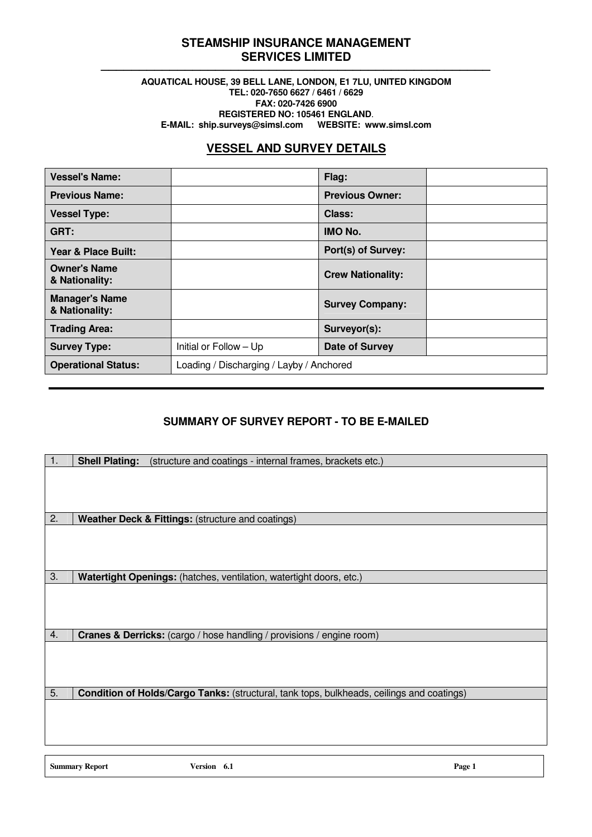## **STEAMSHIP INSURANCE MANAGEMENT SERVICES LIMITED** ───────────────────────────────────────────────────

### **AQUATICAL HOUSE, 39 BELL LANE, LONDON, E1 7LU, UNITED KINGDOM TEL: 020-7650 6627 / 6461 / 6629 FAX: 020-7426 6900 REGISTERED NO: 105461 ENGLAND**. **E-MAIL: ship.surveys@simsl.com WEBSITE: www.simsl.com**

# **VESSEL AND SURVEY DETAILS**

| <b>Vessel's Name:</b>                   |                                          | Flag:                    |  |
|-----------------------------------------|------------------------------------------|--------------------------|--|
| <b>Previous Name:</b>                   |                                          | <b>Previous Owner:</b>   |  |
| <b>Vessel Type:</b>                     |                                          | Class:                   |  |
| GRT:                                    |                                          | <b>IMO No.</b>           |  |
| Year & Place Built:                     |                                          | Port(s) of Survey:       |  |
| <b>Owner's Name</b><br>& Nationality:   |                                          | <b>Crew Nationality:</b> |  |
| <b>Manager's Name</b><br>& Nationality: |                                          | <b>Survey Company:</b>   |  |
| <b>Trading Area:</b>                    |                                          | Surveyor(s):             |  |
| <b>Survey Type:</b>                     | Initial or Follow - Up                   | <b>Date of Survey</b>    |  |
| <b>Operational Status:</b>              | Loading / Discharging / Layby / Anchored |                          |  |

# **SUMMARY OF SURVEY REPORT - TO BE E-MAILED**

| 1. | (structure and coatings - internal frames, brackets etc.)<br><b>Shell Plating:</b>        |
|----|-------------------------------------------------------------------------------------------|
|    |                                                                                           |
|    |                                                                                           |
|    |                                                                                           |
|    |                                                                                           |
| 2. | Weather Deck & Fittings: (structure and coatings)                                         |
|    |                                                                                           |
|    |                                                                                           |
|    |                                                                                           |
| 3. | Watertight Openings: (hatches, ventilation, watertight doors, etc.)                       |
|    |                                                                                           |
|    |                                                                                           |
|    |                                                                                           |
| 4. | <b>Cranes &amp; Derricks:</b> (cargo / hose handling / provisions / engine room)          |
|    |                                                                                           |
|    |                                                                                           |
|    |                                                                                           |
|    |                                                                                           |
| 5. | Condition of Holds/Cargo Tanks: (structural, tank tops, bulkheads, ceilings and coatings) |
|    |                                                                                           |
|    |                                                                                           |
|    |                                                                                           |
|    |                                                                                           |

**Summary Report Version 6.1 Page 1**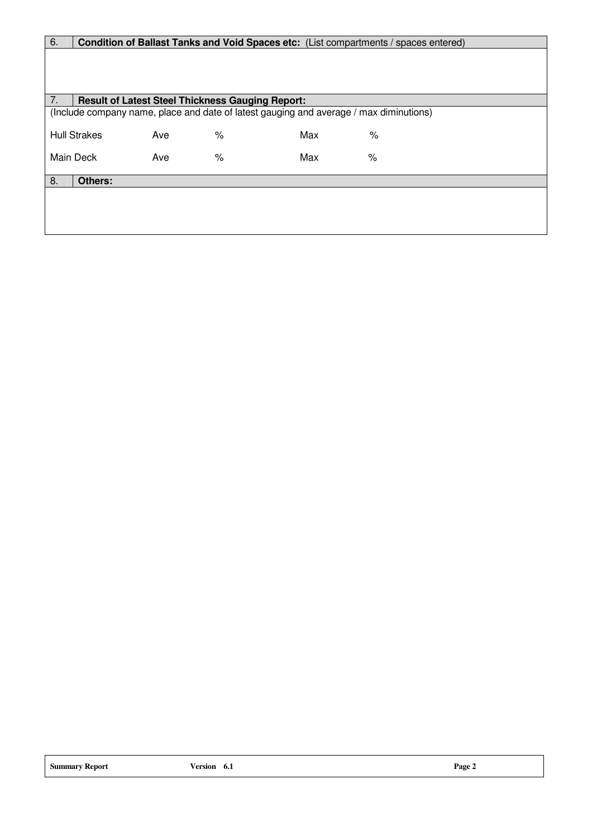| 6. |                     |                                                         |   |                                                                                        | Condition of Ballast Tanks and Void Spaces etc: (List compartments / spaces entered) |  |
|----|---------------------|---------------------------------------------------------|---|----------------------------------------------------------------------------------------|--------------------------------------------------------------------------------------|--|
|    |                     |                                                         |   |                                                                                        |                                                                                      |  |
|    |                     |                                                         |   |                                                                                        |                                                                                      |  |
|    |                     |                                                         |   |                                                                                        |                                                                                      |  |
| 7. |                     | <b>Result of Latest Steel Thickness Gauging Report:</b> |   |                                                                                        |                                                                                      |  |
|    |                     |                                                         |   | (Include company name, place and date of latest gauging and average / max diminutions) |                                                                                      |  |
|    |                     |                                                         |   |                                                                                        |                                                                                      |  |
|    | <b>Hull Strakes</b> | Ave                                                     | % | Max                                                                                    | ℅                                                                                    |  |
|    | Main Deck           | Ave                                                     | % | Max                                                                                    | $\%$                                                                                 |  |
|    |                     |                                                         |   |                                                                                        |                                                                                      |  |
| 8. | Others:             |                                                         |   |                                                                                        |                                                                                      |  |
|    |                     |                                                         |   |                                                                                        |                                                                                      |  |
|    |                     |                                                         |   |                                                                                        |                                                                                      |  |
|    |                     |                                                         |   |                                                                                        |                                                                                      |  |
|    |                     |                                                         |   |                                                                                        |                                                                                      |  |
|    |                     |                                                         |   |                                                                                        |                                                                                      |  |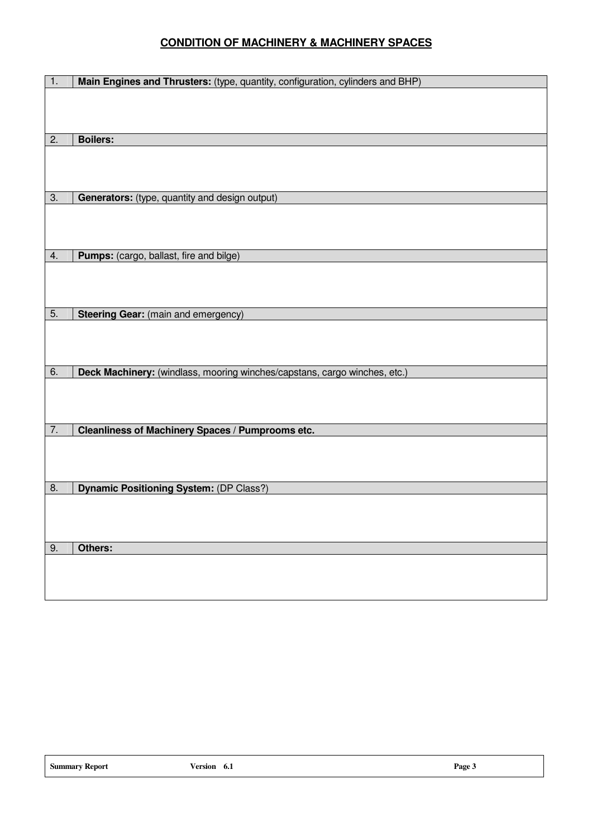## **CONDITION OF MACHINERY & MACHINERY SPACES**

| 1. | Main Engines and Thrusters: (type, quantity, configuration, cylinders and BHP) |
|----|--------------------------------------------------------------------------------|
|    |                                                                                |
|    |                                                                                |
|    |                                                                                |
| 2. | <b>Boilers:</b>                                                                |
|    |                                                                                |
|    |                                                                                |
|    |                                                                                |
|    |                                                                                |
| 3. | Generators: (type, quantity and design output)                                 |
|    |                                                                                |
|    |                                                                                |
|    |                                                                                |
|    |                                                                                |
| 4. | Pumps: (cargo, ballast, fire and bilge)                                        |
|    |                                                                                |
|    |                                                                                |
|    |                                                                                |
|    |                                                                                |
| 5. | <b>Steering Gear:</b> (main and emergency)                                     |
|    |                                                                                |
|    |                                                                                |
|    |                                                                                |
|    |                                                                                |
| 6. | Deck Machinery: (windlass, mooring winches/capstans, cargo winches, etc.)      |
|    |                                                                                |
|    |                                                                                |
|    |                                                                                |
| 7. | Cleanliness of Machinery Spaces / Pumprooms etc.                               |
|    |                                                                                |
|    |                                                                                |
|    |                                                                                |
|    |                                                                                |
| 8. | <b>Dynamic Positioning System: (DP Class?)</b>                                 |
|    |                                                                                |
|    |                                                                                |
|    |                                                                                |
|    |                                                                                |
| 9. | Others:                                                                        |
|    |                                                                                |
|    |                                                                                |
|    |                                                                                |
|    |                                                                                |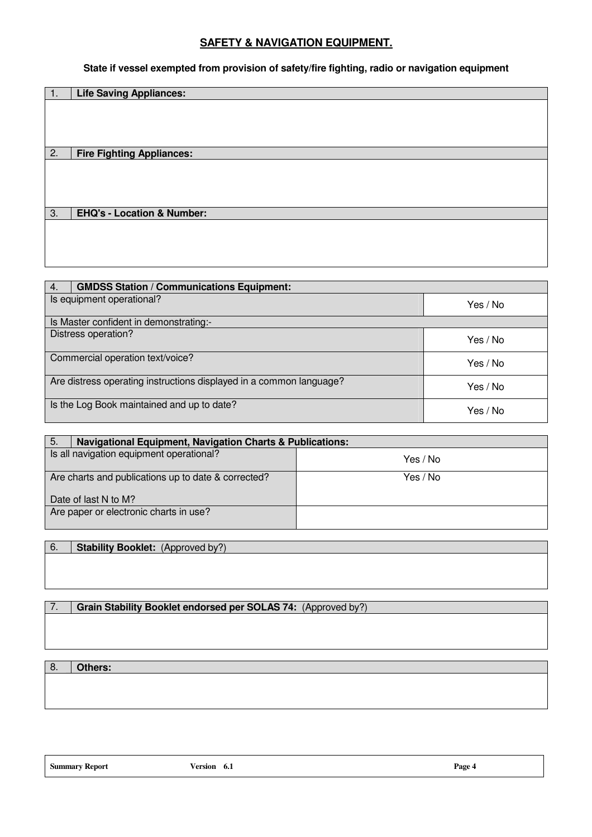## **SAFETY & NAVIGATION EQUIPMENT.**

**State if vessel exempted from provision of safety/fire fighting, radio or navigation equipment** 

| 1. | <b>Life Saving Appliances:</b>        |
|----|---------------------------------------|
|    |                                       |
|    |                                       |
|    |                                       |
|    |                                       |
| 2. | <b>Fire Fighting Appliances:</b>      |
|    |                                       |
|    |                                       |
|    |                                       |
|    |                                       |
|    |                                       |
|    |                                       |
|    |                                       |
| 3. | <b>EHQ's - Location &amp; Number:</b> |
|    |                                       |
|    |                                       |
|    |                                       |
|    |                                       |
|    |                                       |

| 4.                                         | <b>GMDSS Station / Communications Equipment:</b>                    |          |
|--------------------------------------------|---------------------------------------------------------------------|----------|
| Is equipment operational?                  |                                                                     | Yes / No |
|                                            | Is Master confident in demonstrating:-                              |          |
| Distress operation?<br>Yes / No            |                                                                     |          |
|                                            | Commercial operation text/voice?                                    | Yes / No |
|                                            | Are distress operating instructions displayed in a common language? | Yes / No |
| Is the Log Book maintained and up to date? |                                                                     | Yes / No |

| -5.<br><b>Navigational Equipment, Navigation Charts &amp; Publications:</b> |          |
|-----------------------------------------------------------------------------|----------|
| Is all navigation equipment operational?                                    | Yes / No |
| Are charts and publications up to date & corrected?                         | Yes / No |
| Date of last N to M?                                                        |          |
| Are paper or electronic charts in use?                                      |          |

6. **Stability Booklet:** (Approved by?)

7. **Grain Stability Booklet endorsed per SOLAS 74:** (Approved by?)

8. **Others:** 

**Summary Report Version 6.1 Page 4**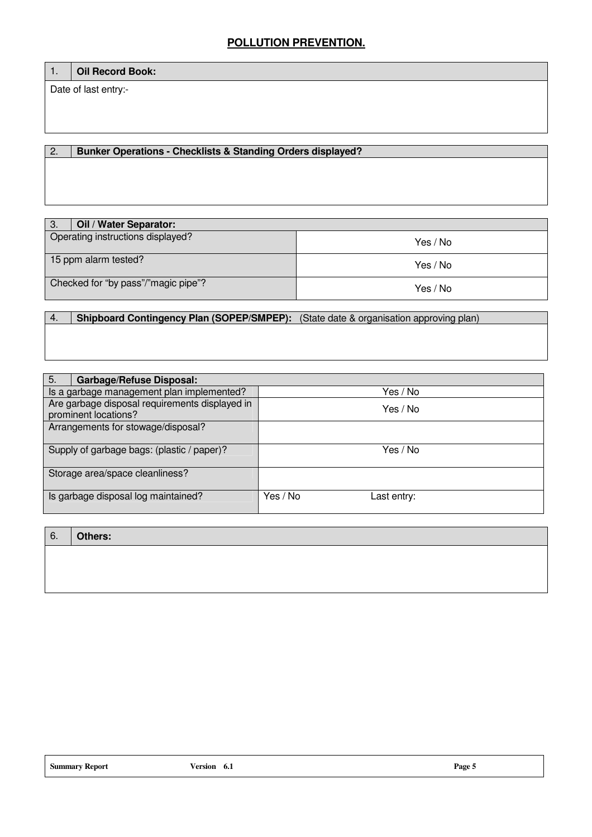## **POLLUTION PREVENTION.**

## 1. **Oil Record Book:**

Date of last entry:-

## 2. **Bunker Operations - Checklists & Standing Orders displayed?**

| Oil / Water Separator:<br>З.        |          |
|-------------------------------------|----------|
| Operating instructions displayed?   | Yes / No |
| 15 ppm alarm tested?                | Yes / No |
| Checked for "by pass"/"magic pipe"? | Yes / No |

# 4. **Shipboard Contingency Plan (SOPEP/SMPEP):** (State date & organisation approving plan)

| 5.<br><b>Garbage/Refuse Disposal:</b>                                  |                         |
|------------------------------------------------------------------------|-------------------------|
| Is a garbage management plan implemented?                              | Yes / No                |
| Are garbage disposal requirements displayed in<br>prominent locations? | Yes / No                |
| Arrangements for stowage/disposal?                                     |                         |
| Supply of garbage bags: (plastic / paper)?                             | Yes / No                |
| Storage area/space cleanliness?                                        |                         |
| Is garbage disposal log maintained?                                    | Yes / No<br>Last entry: |

| 6. | Others: |
|----|---------|
|    |         |
|    |         |
|    |         |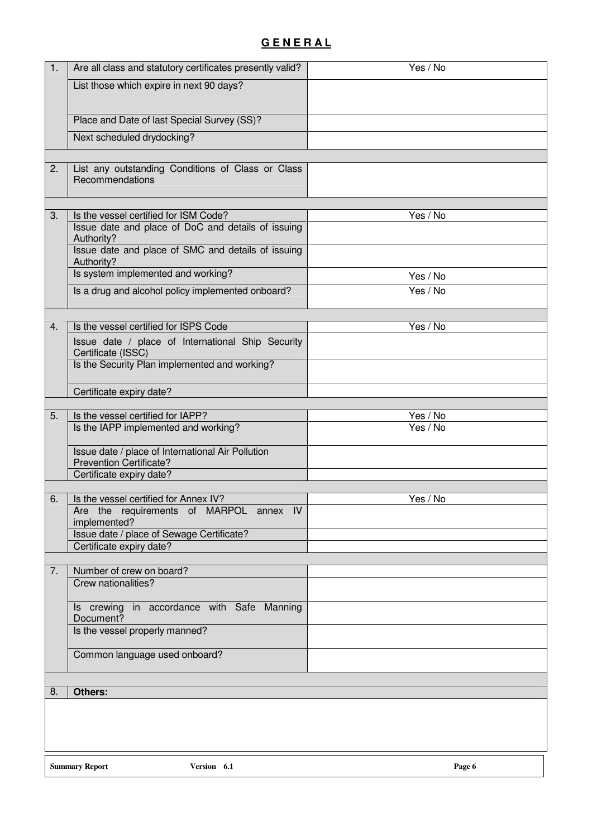# **G E N E R A L**

| 1. | Are all class and statutory certificates presently valid?                 | Yes / No             |
|----|---------------------------------------------------------------------------|----------------------|
|    | List those which expire in next 90 days?                                  |                      |
|    |                                                                           |                      |
|    | Place and Date of last Special Survey (SS)?                               |                      |
|    | Next scheduled drydocking?                                                |                      |
|    |                                                                           |                      |
| 2. | List any outstanding Conditions of Class or Class                         |                      |
|    | Recommendations                                                           |                      |
|    |                                                                           |                      |
| 3. | Is the vessel certified for ISM Code?                                     | Yes / No             |
|    | Issue date and place of DoC and details of issuing                        |                      |
|    | Authority?                                                                |                      |
|    | Issue date and place of SMC and details of issuing<br>Authority?          |                      |
|    | Is system implemented and working?                                        | Yes / No             |
|    | Is a drug and alcohol policy implemented onboard?                         | Yes / No             |
|    |                                                                           |                      |
| 4. | Is the vessel certified for ISPS Code                                     | Yes / No             |
|    |                                                                           |                      |
|    | Issue date / place of International Ship Security<br>Certificate (ISSC)   |                      |
|    | Is the Security Plan implemented and working?                             |                      |
|    |                                                                           |                      |
|    | Certificate expiry date?                                                  |                      |
|    |                                                                           |                      |
| 5. | Is the vessel certified for IAPP?<br>Is the IAPP implemented and working? | Yes / No<br>Yes / No |
|    |                                                                           |                      |
|    | Issue date / place of International Air Pollution                         |                      |
|    | <b>Prevention Certificate?</b>                                            |                      |
|    | Certificate expiry date?                                                  |                      |
| 6. | Is the vessel certified for Annex IV?                                     | Yes / No             |
|    | Are the requirements of MARPOL annex IV                                   |                      |
|    | implemented?                                                              |                      |
|    | Issue date / place of Sewage Certificate?<br>Certificate expiry date?     |                      |
|    |                                                                           |                      |
| 7. | Number of crew on board?                                                  |                      |
|    | Crew nationalities?                                                       |                      |
|    |                                                                           |                      |
|    | Is crewing in accordance with Safe Manning<br>Document?                   |                      |
|    | Is the vessel properly manned?                                            |                      |
|    |                                                                           |                      |
|    | Common language used onboard?                                             |                      |
|    |                                                                           |                      |
| 8. | <b>Others:</b>                                                            |                      |
|    |                                                                           |                      |
|    |                                                                           |                      |
|    |                                                                           |                      |
|    |                                                                           |                      |
|    | <b>Summary Report</b><br>Version 6.1                                      | Page 6               |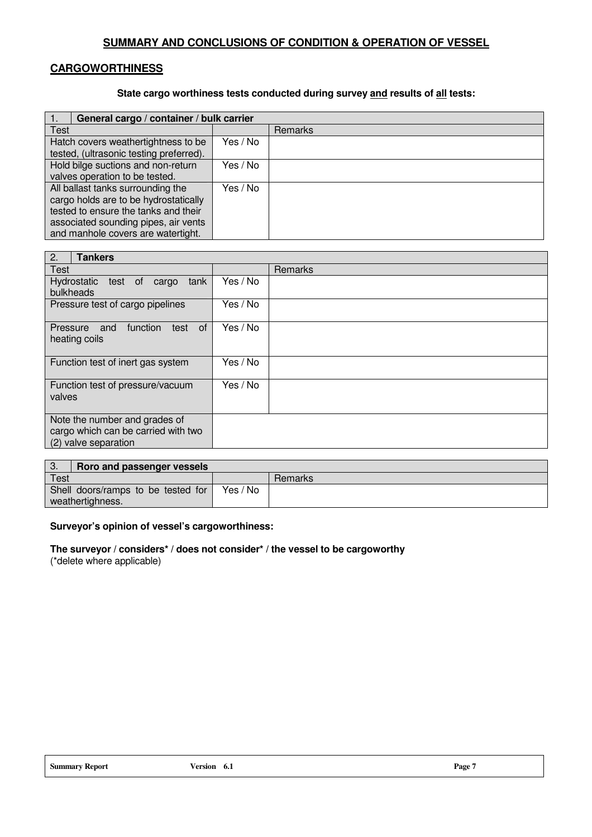## **SUMMARY AND CONCLUSIONS OF CONDITION & OPERATION OF VESSEL**

## **CARGOWORTHINESS**

## **State cargo worthiness tests conducted during survey and results of all tests:**

| General cargo / container / bulk carrier                                                                                                                                                         |          |                |
|--------------------------------------------------------------------------------------------------------------------------------------------------------------------------------------------------|----------|----------------|
| Test                                                                                                                                                                                             |          | <b>Remarks</b> |
| Yes / No<br>Hatch covers weathertightness to be<br>tested, (ultrasonic testing preferred).                                                                                                       |          |                |
| Hold bilge suctions and non-return<br>Yes / No<br>valves operation to be tested.                                                                                                                 |          |                |
| All ballast tanks surrounding the<br>cargo holds are to be hydrostatically<br>tested to ensure the tanks and their<br>associated sounding pipes, air vents<br>and manhole covers are watertight. | Yes / No |                |

| 2.<br><b>Tankers</b>                                                                            |          |         |
|-------------------------------------------------------------------------------------------------|----------|---------|
| <b>Test</b>                                                                                     |          | Remarks |
| Hydrostatic<br>test of<br>tank<br>cargo<br>bulkheads                                            | Yes / No |         |
| Pressure test of cargo pipelines                                                                | Yes / No |         |
| 0f<br>Pressure<br>function<br>and<br>test<br>heating coils                                      | Yes / No |         |
| Function test of inert gas system                                                               | Yes / No |         |
| Function test of pressure/vacuum<br>valves                                                      | Yes / No |         |
| Note the number and grades of<br>cargo which can be carried with two<br>valve separation<br>(2) |          |         |

| Roro and passenger vessels<br>J.   |          |         |
|------------------------------------|----------|---------|
| <b>Test</b>                        |          | Remarks |
| Shell doors/ramps to be tested for | Yes / No |         |
| weathertighness.                   |          |         |

## **Surveyor's opinion of vessel's cargoworthiness:**

**The surveyor / considers\* / does not consider\* / the vessel to be cargoworthy**  (\*delete where applicable)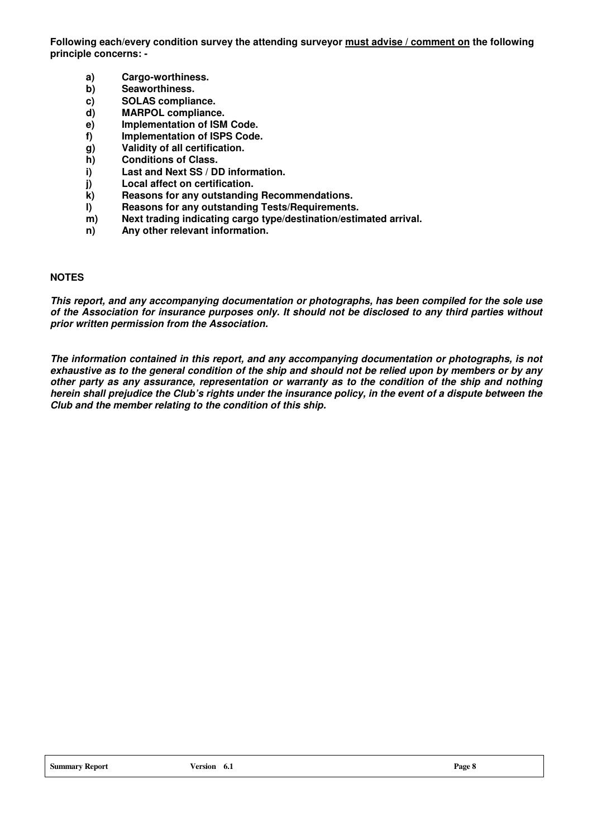**Following each/every condition survey the attending surveyor must advise / comment on the following principle concerns: -** 

- **a) Cargo-worthiness.**
- **b) Seaworthiness.**
- **c) SOLAS compliance.**
- **d) MARPOL compliance.**
- **e) Implementation of ISM Code.**
- **f) Implementation of ISPS Code.**
- **g) Validity of all certification.**
- **h) Conditions of Class.**
- **i) Last and Next SS / DD information.**
- **j) Local affect on certification.**
- **k) Reasons for any outstanding Recommendations.**
- **l) Reasons for any outstanding Tests/Requirements.**
- **m) Next trading indicating cargo type/destination/estimated arrival.**
- **n) Any other relevant information.**

## **NOTES**

**This report, and any accompanying documentation or photographs, has been compiled for the sole use of the Association for insurance purposes only. It should not be disclosed to any third parties without prior written permission from the Association.** 

**The information contained in this report, and any accompanying documentation or photographs, is not exhaustive as to the general condition of the ship and should not be relied upon by members or by any other party as any assurance, representation or warranty as to the condition of the ship and nothing herein shall prejudice the Club's rights under the insurance policy, in the event of a dispute between the Club and the member relating to the condition of this ship.**